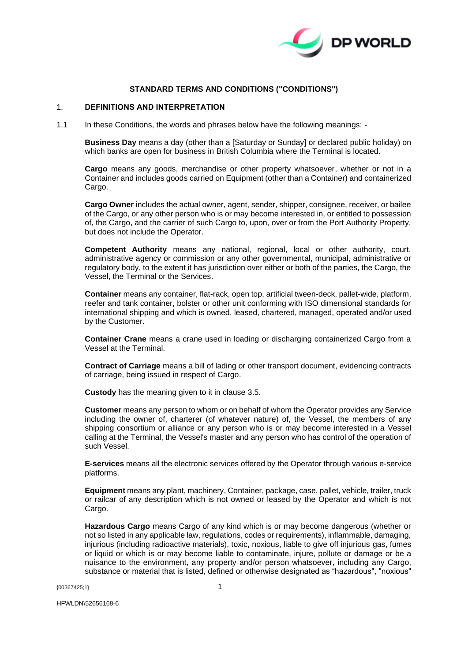

# **STANDARD TERMS AND CONDITIONS ("CONDITIONS")**

#### 1. **DEFINITIONS AND INTERPRETATION**

1.1 In these Conditions, the words and phrases below have the following meanings: -

**Business Day** means a day (other than a [Saturday or Sunday] or declared public holiday) on which banks are open for business in British Columbia where the Terminal is located.

**Cargo** means any goods, merchandise or other property whatsoever, whether or not in a Container and includes goods carried on Equipment (other than a Container) and containerized Cargo.

**Cargo Owner** includes the actual owner, agent, sender, shipper, consignee, receiver, or bailee of the Cargo, or any other person who is or may become interested in, or entitled to possession of, the Cargo, and the carrier of such Cargo to, upon, over or from the Port Authority Property, but does not include the Operator.

**Competent Authority** means any national, regional, local or other authority, court, administrative agency or commission or any other governmental, municipal, administrative or regulatory body, to the extent it has jurisdiction over either or both of the parties, the Cargo, the Vessel, the Terminal or the Services.

**Container** means any container, flat-rack, open top, artificial tween-deck, pallet-wide, platform, reefer and tank container, bolster or other unit conforming with ISO dimensional standards for international shipping and which is owned, leased, chartered, managed, operated and/or used by the Customer.

**Container Crane** means a crane used in loading or discharging containerized Cargo from a Vessel at the Terminal.

**Contract of Carriage** means a bill of lading or other transport document, evidencing contracts of carriage, being issued in respect of Cargo.

**Custody** has the meaning given to it in clause [3.5.](#page-4-0)

**Customer** means any person to whom or on behalf of whom the Operator provides any Service including the owner of, charterer (of whatever nature) of, the Vessel, the members of any shipping consortium or alliance or any person who is or may become interested in a Vessel calling at the Terminal, the Vessel's master and any person who has control of the operation of such Vessel.

**E-services** means all the electronic services offered by the Operator through various e-service platforms.

**Equipment** means any plant, machinery, Container, package, case, pallet, vehicle, trailer, truck or railcar of any description which is not owned or leased by the Operator and which is not Cargo.

**Hazardous Cargo** means Cargo of any kind which is or may become dangerous (whether or not so listed in any applicable law, regulations, codes or requirements), inflammable, damaging, injurious (including radioactive materials), toxic, noxious, liable to give off injurious gas, fumes or liquid or which is or may become liable to contaminate, injure, pollute or damage or be a nuisance to the environment, any property and/or person whatsoever, including any Cargo, substance or material that is listed, defined or otherwise designated as "hazardous", "noxious"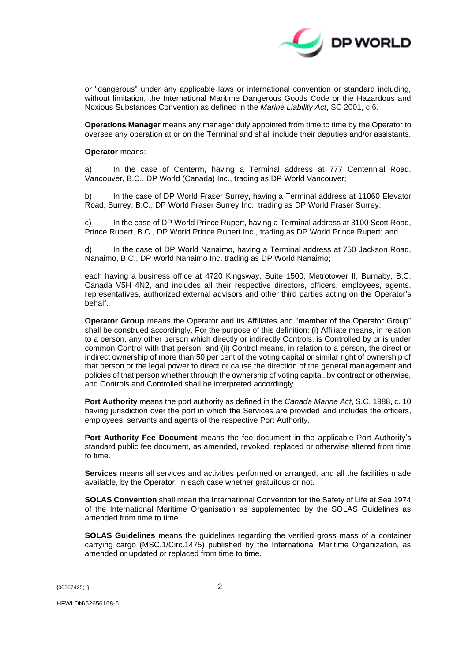

or "dangerous" under any applicable laws or international convention or standard including, without limitation, the International Maritime Dangerous Goods Code or the Hazardous and Noxious Substances Convention as defined in the *Marine Liability Act*, SC 2001, c 6.

**Operations Manager** means any manager duly appointed from time to time by the Operator to oversee any operation at or on the Terminal and shall include their deputies and/or assistants.

#### **Operator** means:

a) In the case of Centerm, having a Terminal address at 777 Centennial Road, Vancouver, B.C., DP World (Canada) Inc., trading as DP World Vancouver;

b) In the case of DP World Fraser Surrey, having a Terminal address at 11060 Elevator Road, Surrey, B.C., DP World Fraser Surrey Inc., trading as DP World Fraser Surrey;

c) In the case of DP World Prince Rupert, having a Terminal address at 3100 Scott Road, Prince Rupert, B.C., DP World Prince Rupert Inc., trading as DP World Prince Rupert; and

d) In the case of DP World Nanaimo, having a Terminal address at 750 Jackson Road, Nanaimo, B.C., DP World Nanaimo Inc. trading as DP World Nanaimo;

each having a business office at 4720 Kingsway, Suite 1500, Metrotower II, Burnaby, B.C. Canada V5H 4N2, and includes all their respective directors, officers, employees, agents, representatives, authorized external advisors and other third parties acting on the Operator's behalf.

**Operator Group** means the Operator and its Affiliates and "member of the Operator Group" shall be construed accordingly. For the purpose of this definition: (i) Affiliate means, in relation to a person, any other person which directly or indirectly Controls, is Controlled by or is under common Control with that person, and (ii) Control means, in relation to a person, the direct or indirect ownership of more than 50 per cent of the voting capital or similar right of ownership of that person or the legal power to direct or cause the direction of the general management and policies of that person whether through the ownership of voting capital, by contract or otherwise, and Controls and Controlled shall be interpreted accordingly.

**Port Authority** means the port authority as defined in the *Canada Marine Act*, S.C. 1988, c. 10 having jurisdiction over the port in which the Services are provided and includes the officers, employees, servants and agents of the respective Port Authority.

**Port Authority Fee Document** means the fee document in the applicable Port Authority's standard public fee document, as amended, revoked, replaced or otherwise altered from time to time.

**Services** means all services and activities performed or arranged, and all the facilities made available, by the Operator, in each case whether gratuitous or not.

**SOLAS Convention** shall mean the International Convention for the Safety of Life at Sea 1974 of the International Maritime Organisation as supplemented by the SOLAS Guidelines as amended from time to time.

**SOLAS Guidelines** means the guidelines regarding the verified gross mass of a container carrying cargo (MSC.1/Circ.1475) published by the International Maritime Organization, as amended or updated or replaced from time to time.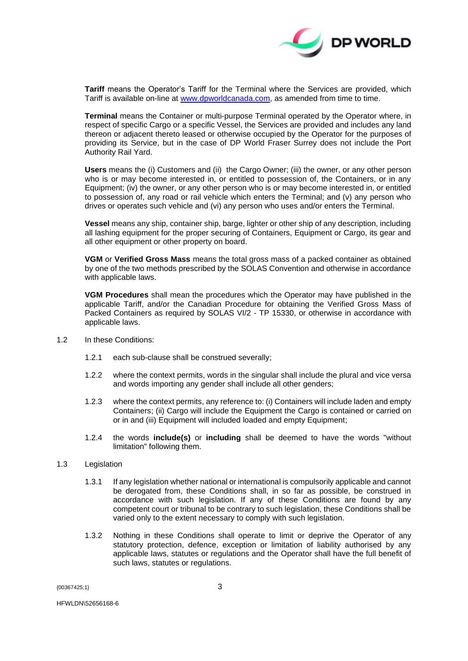

**Tariff** means the Operator's Tariff for the Terminal where the Services are provided, which Tariff is available on-line at [www.dpworldcanada.com,](http://www.dpworldcanada.com/) as amended from time to time.

**Terminal** means the Container or multi-purpose Terminal operated by the Operator where, in respect of specific Cargo or a specific Vessel, the Services are provided and includes any land thereon or adjacent thereto leased or otherwise occupied by the Operator for the purposes of providing its Service, but in the case of DP World Fraser Surrey does not include the Port Authority Rail Yard.

**Users** means the (i) Customers and (ii) the Cargo Owner; (iii) the owner, or any other person who is or may become interested in, or entitled to possession of, the Containers, or in any Equipment; (iv) the owner, or any other person who is or may become interested in, or entitled to possession of, any road or rail vehicle which enters the Terminal; and (v) any person who drives or operates such vehicle and (vi) any person who uses and/or enters the Terminal.

**Vessel** means any ship, container ship, barge, lighter or other ship of any description, including all lashing equipment for the proper securing of Containers, Equipment or Cargo, its gear and all other equipment or other property on board.

**VGM** or **Verified Gross Mass** means the total gross mass of a packed container as obtained by one of the two methods prescribed by the SOLAS Convention and otherwise in accordance with applicable laws.

**VGM Procedures** shall mean the procedures which the Operator may have published in the applicable Tariff, and/or the Canadian Procedure for obtaining the Verified Gross Mass of Packed Containers as required by SOLAS VI/2 - TP 15330, or otherwise in accordance with applicable laws.

- 1.2 In these Conditions:
	- 1.2.1 each sub-clause shall be construed severally;
	- 1.2.2 where the context permits, words in the singular shall include the plural and vice versa and words importing any gender shall include all other genders;
	- 1.2.3 where the context permits, any reference to: (i) Containers will include laden and empty Containers; (ii) Cargo will include the Equipment the Cargo is contained or carried on or in and (iii) Equipment will included loaded and empty Equipment;
	- 1.2.4 the words **include(s)** or **including** shall be deemed to have the words "without limitation" following them.
- 1.3 Legislation
	- 1.3.1 If any legislation whether national or international is compulsorily applicable and cannot be derogated from, these Conditions shall, in so far as possible, be construed in accordance with such legislation. If any of these Conditions are found by any competent court or tribunal to be contrary to such legislation, these Conditions shall be varied only to the extent necessary to comply with such legislation.
	- 1.3.2 Nothing in these Conditions shall operate to limit or deprive the Operator of any statutory protection, defence, exception or limitation of liability authorised by any applicable laws, statutes or regulations and the Operator shall have the full benefit of such laws, statutes or regulations.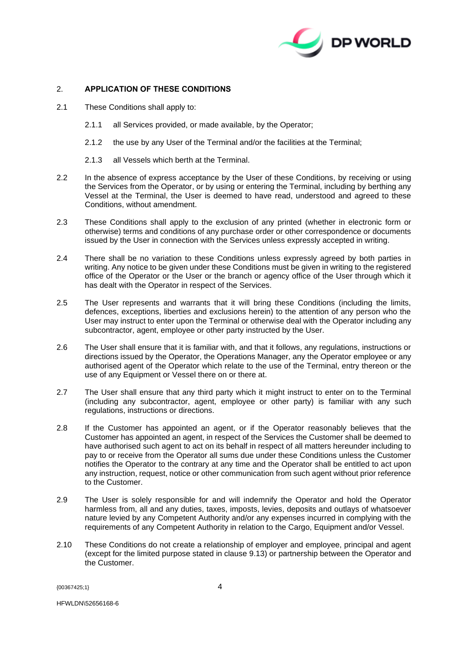

# 2. **APPLICATION OF THESE CONDITIONS**

- 2.1 These Conditions shall apply to:
	- 2.1.1 all Services provided, or made available, by the Operator;
	- 2.1.2 the use by any User of the Terminal and/or the facilities at the Terminal;
	- 2.1.3 all Vessels which berth at the Terminal.
- 2.2 In the absence of express acceptance by the User of these Conditions, by receiving or using the Services from the Operator, or by using or entering the Terminal, including by berthing any Vessel at the Terminal, the User is deemed to have read, understood and agreed to these Conditions, without amendment.
- 2.3 These Conditions shall apply to the exclusion of any printed (whether in electronic form or otherwise) terms and conditions of any purchase order or other correspondence or documents issued by the User in connection with the Services unless expressly accepted in writing.
- 2.4 There shall be no variation to these Conditions unless expressly agreed by both parties in writing. Any notice to be given under these Conditions must be given in writing to the registered office of the Operator or the User or the branch or agency office of the User through which it has dealt with the Operator in respect of the Services.
- 2.5 The User represents and warrants that it will bring these Conditions (including the limits, defences, exceptions, liberties and exclusions herein) to the attention of any person who the User may instruct to enter upon the Terminal or otherwise deal with the Operator including any subcontractor, agent, employee or other party instructed by the User.
- 2.6 The User shall ensure that it is familiar with, and that it follows, any regulations, instructions or directions issued by the Operator, the Operations Manager, any the Operator employee or any authorised agent of the Operator which relate to the use of the Terminal, entry thereon or the use of any Equipment or Vessel there on or there at.
- 2.7 The User shall ensure that any third party which it might instruct to enter on to the Terminal (including any subcontractor, agent, employee or other party) is familiar with any such regulations, instructions or directions.
- 2.8 If the Customer has appointed an agent, or if the Operator reasonably believes that the Customer has appointed an agent, in respect of the Services the Customer shall be deemed to have authorised such agent to act on its behalf in respect of all matters hereunder including to pay to or receive from the Operator all sums due under these Conditions unless the Customer notifies the Operator to the contrary at any time and the Operator shall be entitled to act upon any instruction, request, notice or other communication from such agent without prior reference to the Customer.
- 2.9 The User is solely responsible for and will indemnify the Operator and hold the Operator harmless from, all and any duties, taxes, imposts, levies, deposits and outlays of whatsoever nature levied by any Competent Authority and/or any expenses incurred in complying with the requirements of any Competent Authority in relation to the Cargo, Equipment and/or Vessel.
- 2.10 These Conditions do not create a relationship of employer and employee, principal and agent (except for the limited purpose stated in clause [9.13\)](#page-16-0) or partnership between the Operator and the Customer.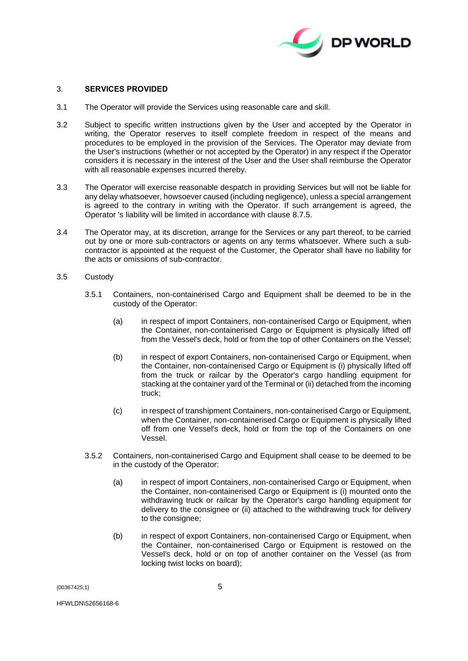

## <span id="page-4-1"></span>3. **SERVICES PROVIDED**

- 3.1 The Operator will provide the Services using reasonable care and skill.
- 3.2 Subject to specific written instructions given by the User and accepted by the Operator in writing, the Operator reserves to itself complete freedom in respect of the means and procedures to be employed in the provision of the Services. The Operator may deviate from the User's instructions (whether or not accepted by the Operator) in any respect if the Operator considers it is necessary in the interest of the User and the User shall reimburse the Operator with all reasonable expenses incurred thereby.
- 3.3 The Operator will exercise reasonable despatch in providing Services but will not be liable for any delay whatsoever, howsoever caused (including negligence), unless a special arrangement is agreed to the contrary in writing with the Operator. If such arrangement is agreed, the Operator 's liability will be limited in accordance with clause [8.7.5.](#page-13-0)
- 3.4 The Operator may, at its discretion, arrange for the Services or any part thereof, to be carried out by one or more sub-contractors or agents on any terms whatsoever. Where such a subcontractor is appointed at the request of the Customer, the Operator shall have no liability for the acts or omissions of sub-contractor.
- <span id="page-4-0"></span>3.5 Custody
	- 3.5.1 Containers, non-containerised Cargo and Equipment shall be deemed to be in the custody of the Operator:
		- (a) in respect of import Containers, non-containerised Cargo or Equipment, when the Container, non-containerised Cargo or Equipment is physically lifted off from the Vessel's deck, hold or from the top of other Containers on the Vessel;
		- (b) in respect of export Containers, non-containerised Cargo or Equipment, when the Container, non-containerised Cargo or Equipment is (i) physically lifted off from the truck or railcar by the Operator's cargo handling equipment for stacking at the container yard of the Terminal or (ii) detached from the incoming truck;
		- (c) in respect of transhipment Containers, non-containerised Cargo or Equipment, when the Container, non-containerised Cargo or Equipment is physically lifted off from one Vessel's deck, hold or from the top of the Containers on one Vessel.
	- 3.5.2 Containers, non-containerised Cargo and Equipment shall cease to be deemed to be in the custody of the Operator:
		- (a) in respect of import Containers, non-containerised Cargo or Equipment, when the Container, non-containerised Cargo or Equipment is (i) mounted onto the withdrawing truck or railcar by the Operator's cargo handling equipment for delivery to the consignee or (ii) attached to the withdrawing truck for delivery to the consignee;
		- (b) in respect of export Containers, non-containerised Cargo or Equipment, when the Container, non-containerised Cargo or Equipment is restowed on the Vessel's deck, hold or on top of another container on the Vessel (as from locking twist locks on board);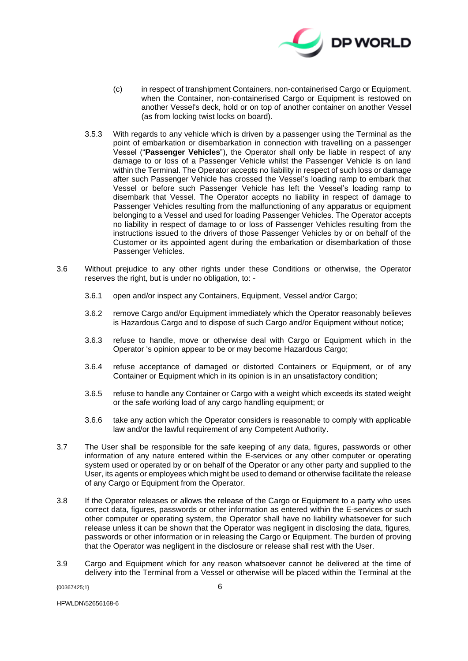

- (c) in respect of transhipment Containers, non-containerised Cargo or Equipment, when the Container, non-containerised Cargo or Equipment is restowed on another Vessel's deck, hold or on top of another container on another Vessel (as from locking twist locks on board).
- 3.5.3 With regards to any vehicle which is driven by a passenger using the Terminal as the point of embarkation or disembarkation in connection with travelling on a passenger Vessel ("**Passenger Vehicles**"), the Operator shall only be liable in respect of any damage to or loss of a Passenger Vehicle whilst the Passenger Vehicle is on land within the Terminal. The Operator accepts no liability in respect of such loss or damage after such Passenger Vehicle has crossed the Vessel's loading ramp to embark that Vessel or before such Passenger Vehicle has left the Vessel's loading ramp to disembark that Vessel. The Operator accepts no liability in respect of damage to Passenger Vehicles resulting from the malfunctioning of any apparatus or equipment belonging to a Vessel and used for loading Passenger Vehicles. The Operator accepts no liability in respect of damage to or loss of Passenger Vehicles resulting from the instructions issued to the drivers of those Passenger Vehicles by or on behalf of the Customer or its appointed agent during the embarkation or disembarkation of those Passenger Vehicles.
- 3.6 Without prejudice to any other rights under these Conditions or otherwise, the Operator reserves the right, but is under no obligation, to: -
	- 3.6.1 open and/or inspect any Containers, Equipment, Vessel and/or Cargo;
	- 3.6.2 remove Cargo and/or Equipment immediately which the Operator reasonably believes is Hazardous Cargo and to dispose of such Cargo and/or Equipment without notice;
	- 3.6.3 refuse to handle, move or otherwise deal with Cargo or Equipment which in the Operator 's opinion appear to be or may become Hazardous Cargo;
	- 3.6.4 refuse acceptance of damaged or distorted Containers or Equipment, or of any Container or Equipment which in its opinion is in an unsatisfactory condition;
	- 3.6.5 refuse to handle any Container or Cargo with a weight which exceeds its stated weight or the safe working load of any cargo handling equipment; or
	- 3.6.6 take any action which the Operator considers is reasonable to comply with applicable law and/or the lawful requirement of any Competent Authority.
- 3.7 The User shall be responsible for the safe keeping of any data, figures, passwords or other information of any nature entered within the E-services or any other computer or operating system used or operated by or on behalf of the Operator or any other party and supplied to the User, its agents or employees which might be used to demand or otherwise facilitate the release of any Cargo or Equipment from the Operator.
- 3.8 If the Operator releases or allows the release of the Cargo or Equipment to a party who uses correct data, figures, passwords or other information as entered within the E-services or such other computer or operating system, the Operator shall have no liability whatsoever for such release unless it can be shown that the Operator was negligent in disclosing the data, figures, passwords or other information or in releasing the Cargo or Equipment. The burden of proving that the Operator was negligent in the disclosure or release shall rest with the User.
- 3.9 Cargo and Equipment which for any reason whatsoever cannot be delivered at the time of delivery into the Terminal from a Vessel or otherwise will be placed within the Terminal at the

 $\{0.0367425:1\}$  6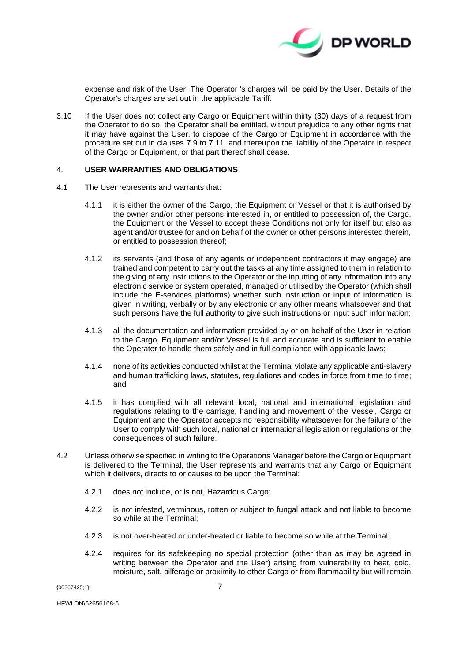

expense and risk of the User. The Operator 's charges will be paid by the User. Details of the Operator's charges are set out in the applicable Tariff.

<span id="page-6-0"></span>3.10 If the User does not collect any Cargo or Equipment within thirty (30) days of a request from the Operator to do so, the Operator shall be entitled, without prejudice to any other rights that it may have against the User, to dispose of the Cargo or Equipment in accordance with the procedure set out in clauses [7.9](#page-10-0) to [7.11,](#page-10-1) and thereupon the liability of the Operator in respect of the Cargo or Equipment, or that part thereof shall cease.

### <span id="page-6-1"></span>4. **USER WARRANTIES AND OBLIGATIONS**

- 4.1 The User represents and warrants that:
	- 4.1.1 it is either the owner of the Cargo, the Equipment or Vessel or that it is authorised by the owner and/or other persons interested in, or entitled to possession of, the Cargo, the Equipment or the Vessel to accept these Conditions not only for itself but also as agent and/or trustee for and on behalf of the owner or other persons interested therein, or entitled to possession thereof;
	- 4.1.2 its servants (and those of any agents or independent contractors it may engage) are trained and competent to carry out the tasks at any time assigned to them in relation to the giving of any instructions to the Operator or the inputting of any information into any electronic service or system operated, managed or utilised by the Operator (which shall include the E-services platforms) whether such instruction or input of information is given in writing, verbally or by any electronic or any other means whatsoever and that such persons have the full authority to give such instructions or input such information;
	- 4.1.3 all the documentation and information provided by or on behalf of the User in relation to the Cargo, Equipment and/or Vessel is full and accurate and is sufficient to enable the Operator to handle them safely and in full compliance with applicable laws;
	- 4.1.4 none of its activities conducted whilst at the Terminal violate any applicable anti-slavery and human trafficking laws, statutes, regulations and codes in force from time to time; and
	- 4.1.5 it has complied with all relevant local, national and international legislation and regulations relating to the carriage, handling and movement of the Vessel, Cargo or Equipment and the Operator accepts no responsibility whatsoever for the failure of the User to comply with such local, national or international legislation or regulations or the consequences of such failure.
- 4.2 Unless otherwise specified in writing to the Operations Manager before the Cargo or Equipment is delivered to the Terminal, the User represents and warrants that any Cargo or Equipment which it delivers, directs to or causes to be upon the Terminal:
	- 4.2.1 does not include, or is not, Hazardous Cargo;
	- 4.2.2 is not infested, verminous, rotten or subject to fungal attack and not liable to become so while at the Terminal;
	- 4.2.3 is not over-heated or under-heated or liable to become so while at the Terminal;
	- 4.2.4 requires for its safekeeping no special protection (other than as may be agreed in writing between the Operator and the User) arising from vulnerability to heat, cold, moisture, salt, pilferage or proximity to other Cargo or from flammability but will remain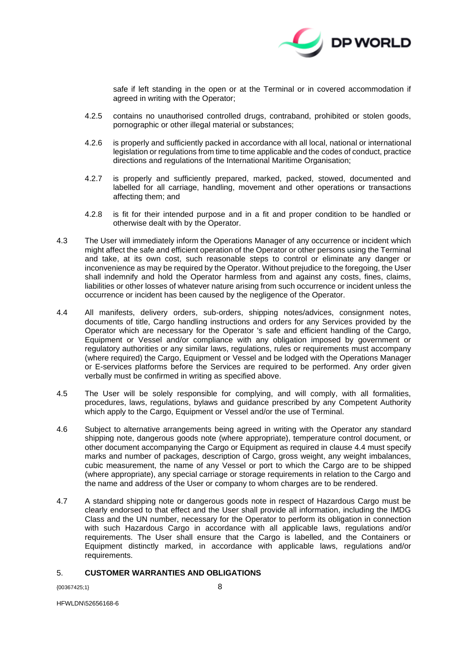

safe if left standing in the open or at the Terminal or in covered accommodation if agreed in writing with the Operator;

- 4.2.5 contains no unauthorised controlled drugs, contraband, prohibited or stolen goods, pornographic or other illegal material or substances;
- 4.2.6 is properly and sufficiently packed in accordance with all local, national or international legislation or regulations from time to time applicable and the codes of conduct, practice directions and regulations of the International Maritime Organisation;
- 4.2.7 is properly and sufficiently prepared, marked, packed, stowed, documented and labelled for all carriage, handling, movement and other operations or transactions affecting them; and
- 4.2.8 is fit for their intended purpose and in a fit and proper condition to be handled or otherwise dealt with by the Operator.
- 4.3 The User will immediately inform the Operations Manager of any occurrence or incident which might affect the safe and efficient operation of the Operator or other persons using the Terminal and take, at its own cost, such reasonable steps to control or eliminate any danger or inconvenience as may be required by the Operator. Without prejudice to the foregoing, the User shall indemnify and hold the Operator harmless from and against any costs, fines, claims, liabilities or other losses of whatever nature arising from such occurrence or incident unless the occurrence or incident has been caused by the negligence of the Operator.
- <span id="page-7-0"></span>4.4 All manifests, delivery orders, sub-orders, shipping notes/advices, consignment notes, documents of title, Cargo handling instructions and orders for any Services provided by the Operator which are necessary for the Operator 's safe and efficient handling of the Cargo, Equipment or Vessel and/or compliance with any obligation imposed by government or regulatory authorities or any similar laws, regulations, rules or requirements must accompany (where required) the Cargo, Equipment or Vessel and be lodged with the Operations Manager or E-services platforms before the Services are required to be performed. Any order given verbally must be confirmed in writing as specified above.
- 4.5 The User will be solely responsible for complying, and will comply, with all formalities, procedures, laws, regulations, bylaws and guidance prescribed by any Competent Authority which apply to the Cargo, Equipment or Vessel and/or the use of Terminal.
- 4.6 Subject to alternative arrangements being agreed in writing with the Operator any standard shipping note, dangerous goods note (where appropriate), temperature control document, or other document accompanying the Cargo or Equipment as required in clause [4.4](#page-7-0) must specify marks and number of packages, description of Cargo, gross weight, any weight imbalances, cubic measurement, the name of any Vessel or port to which the Cargo are to be shipped (where appropriate), any special carriage or storage requirements in relation to the Cargo and the name and address of the User or company to whom charges are to be rendered.
- 4.7 A standard shipping note or dangerous goods note in respect of Hazardous Cargo must be clearly endorsed to that effect and the User shall provide all information, including the IMDG Class and the UN number, necessary for the Operator to perform its obligation in connection with such Hazardous Cargo in accordance with all applicable laws, regulations and/or requirements. The User shall ensure that the Cargo is labelled, and the Containers or Equipment distinctly marked, in accordance with applicable laws, regulations and/or requirements.

## <span id="page-7-1"></span>5. **CUSTOMER WARRANTIES AND OBLIGATIONS**

{00367425;1} 8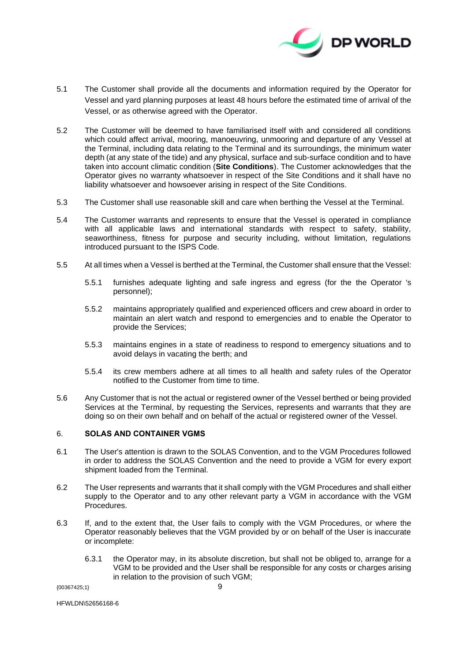

- 5.1 The Customer shall provide all the documents and information required by the Operator for Vessel and yard planning purposes at least 48 hours before the estimated time of arrival of the Vessel, or as otherwise agreed with the Operator.
- 5.2 The Customer will be deemed to have familiarised itself with and considered all conditions which could affect arrival, mooring, manoeuvring, unmooring and departure of any Vessel at the Terminal, including data relating to the Terminal and its surroundings, the minimum water depth (at any state of the tide) and any physical, surface and sub-surface condition and to have taken into account climatic condition (**Site Conditions**). The Customer acknowledges that the Operator gives no warranty whatsoever in respect of the Site Conditions and it shall have no liability whatsoever and howsoever arising in respect of the Site Conditions.
- 5.3 The Customer shall use reasonable skill and care when berthing the Vessel at the Terminal.
- 5.4 The Customer warrants and represents to ensure that the Vessel is operated in compliance with all applicable laws and international standards with respect to safety, stability, seaworthiness, fitness for purpose and security including, without limitation, regulations introduced pursuant to the ISPS Code.
- 5.5 At all times when a Vessel is berthed at the Terminal, the Customer shall ensure that the Vessel:
	- 5.5.1 furnishes adequate lighting and safe ingress and egress (for the the Operator 's personnel);
	- 5.5.2 maintains appropriately qualified and experienced officers and crew aboard in order to maintain an alert watch and respond to emergencies and to enable the Operator to provide the Services;
	- 5.5.3 maintains engines in a state of readiness to respond to emergency situations and to avoid delays in vacating the berth; and
	- 5.5.4 its crew members adhere at all times to all health and safety rules of the Operator notified to the Customer from time to time.
- 5.6 Any Customer that is not the actual or registered owner of the Vessel berthed or being provided Services at the Terminal, by requesting the Services, represents and warrants that they are doing so on their own behalf and on behalf of the actual or registered owner of the Vessel.

# <span id="page-8-0"></span>6. **SOLAS AND CONTAINER VGMS**

- 6.1 The User's attention is drawn to the SOLAS Convention, and to the VGM Procedures followed in order to address the SOLAS Convention and the need to provide a VGM for every export shipment loaded from the Terminal.
- 6.2 The User represents and warrants that it shall comply with the VGM Procedures and shall either supply to the Operator and to any other relevant party a VGM in accordance with the VGM **Procedures**
- 6.3 If, and to the extent that, the User fails to comply with the VGM Procedures, or where the Operator reasonably believes that the VGM provided by or on behalf of the User is inaccurate or incomplete:
	- 6.3.1 the Operator may, in its absolute discretion, but shall not be obliged to, arrange for a VGM to be provided and the User shall be responsible for any costs or charges arising in relation to the provision of such VGM;

{00367425;1} 9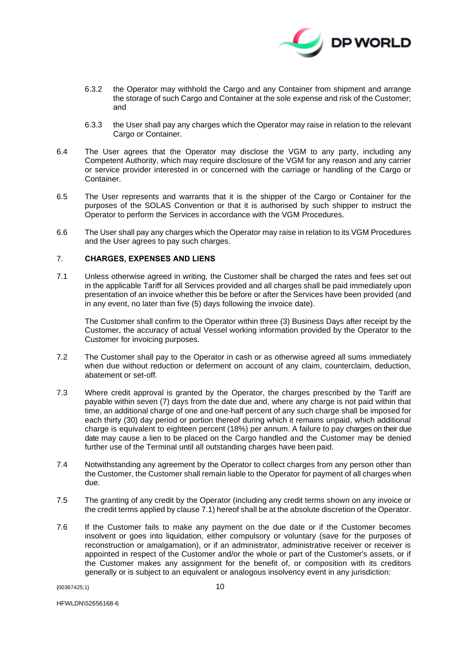

- 6.3.2 the Operator may withhold the Cargo and any Container from shipment and arrange the storage of such Cargo and Container at the sole expense and risk of the Customer; and
- 6.3.3 the User shall pay any charges which the Operator may raise in relation to the relevant Cargo or Container.
- 6.4 The User agrees that the Operator may disclose the VGM to any party, including any Competent Authority, which may require disclosure of the VGM for any reason and any carrier or service provider interested in or concerned with the carriage or handling of the Cargo or Container.
- 6.5 The User represents and warrants that it is the shipper of the Cargo or Container for the purposes of the SOLAS Convention or that it is authorised by such shipper to instruct the Operator to perform the Services in accordance with the VGM Procedures.
- 6.6 The User shall pay any charges which the Operator may raise in relation to its VGM Procedures and the User agrees to pay such charges.

# <span id="page-9-1"></span>7. **CHARGES, EXPENSES AND LIENS**

<span id="page-9-0"></span>7.1 Unless otherwise agreed in writing, the Customer shall be charged the rates and fees set out in the applicable Tariff for all Services provided and all charges shall be paid immediately upon presentation of an invoice whether this be before or after the Services have been provided (and in any event, no later than five (5) days following the invoice date).

The Customer shall confirm to the Operator within three (3) Business Days after receipt by the Customer, the accuracy of actual Vessel working information provided by the Operator to the Customer for invoicing purposes.

- 7.2 The Customer shall pay to the Operator in cash or as otherwise agreed all sums immediately when due without reduction or deferment on account of any claim, counterclaim, deduction, abatement or set-off.
- 7.3 Where credit approval is granted by the Operator, the charges prescribed by the Tariff are payable within seven (7) days from the date due and, where any charge is not paid within that time, an additional charge of one and one-half percent of any such charge shall be imposed for each thirty (30) day period or portion thereof during which it remains unpaid, which additional charge is equivalent to eighteen percent (18%) per annum. A failure to pay charges on their due date may cause a lien to be placed on the Cargo handled and the Customer may be denied further use of the Terminal until all outstanding charges have been paid.
- 7.4 Notwithstanding any agreement by the Operator to collect charges from any person other than the Customer, the Customer shall remain liable to the Operator for payment of all charges when due.
- 7.5 The granting of any credit by the Operator (including any credit terms shown on any invoice or the credit terms applied by clause [7.1\)](#page-9-0) hereof shall be at the absolute discretion of the Operator.
- 7.6 If the Customer fails to make any payment on the due date or if the Customer becomes insolvent or goes into liquidation, either compulsory or voluntary (save for the purposes of reconstruction or amalgamation), or if an administrator, administrative receiver or receiver is appointed in respect of the Customer and/or the whole or part of the Customer's assets, or if the Customer makes any assignment for the benefit of, or composition with its creditors generally or is subject to an equivalent or analogous insolvency event in any jurisdiction: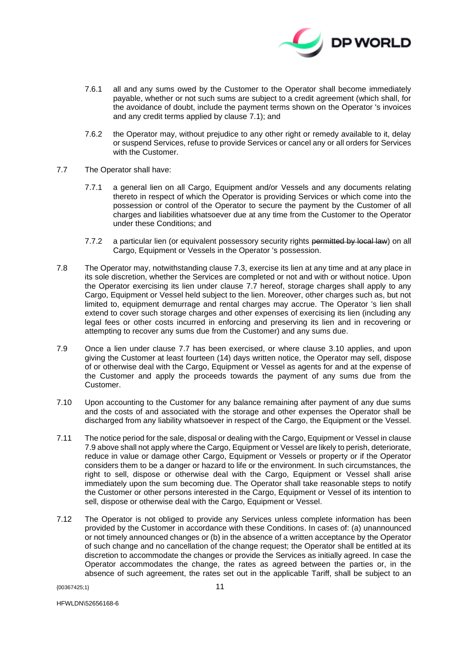

- 7.6.1 all and any sums owed by the Customer to the Operator shall become immediately payable, whether or not such sums are subject to a credit agreement (which shall, for the avoidance of doubt, include the payment terms shown on the Operator 's invoices and any credit terms applied by clause [7.1\)](#page-9-0); and
- 7.6.2 the Operator may, without prejudice to any other right or remedy available to it, delay or suspend Services, refuse to provide Services or cancel any or all orders for Services with the Customer.
- <span id="page-10-2"></span>7.7 The Operator shall have:
	- 7.7.1 a general lien on all Cargo, Equipment and/or Vessels and any documents relating thereto in respect of which the Operator is providing Services or which come into the possession or control of the Operator to secure the payment by the Customer of all charges and liabilities whatsoever due at any time from the Customer to the Operator under these Conditions; and
	- 7.7.2 a particular lien (or equivalent possessory security rights permitted by local law) on all Cargo, Equipment or Vessels in the Operator 's possession.
- 7.8 The Operator may, notwithstanding clause 7.3, exercise its lien at any time and at any place in its sole discretion, whether the Services are completed or not and with or without notice. Upon the Operator exercising its lien under clause [7.7](#page-10-2) hereof, storage charges shall apply to any Cargo, Equipment or Vessel held subject to the lien. Moreover, other charges such as, but not limited to, equipment demurrage and rental charges may accrue. The Operator 's lien shall extend to cover such storage charges and other expenses of exercising its lien (including any legal fees or other costs incurred in enforcing and preserving its lien and in recovering or attempting to recover any sums due from the Customer) and any sums due.
- <span id="page-10-0"></span>7.9 Once a lien under clause [7.7](#page-10-2) has been exercised, or where clause [3.10](#page-6-0) applies, and upon giving the Customer at least fourteen (14) days written notice, the Operator may sell, dispose of or otherwise deal with the Cargo, Equipment or Vessel as agents for and at the expense of the Customer and apply the proceeds towards the payment of any sums due from the Customer.
- 7.10 Upon accounting to the Customer for any balance remaining after payment of any due sums and the costs of and associated with the storage and other expenses the Operator shall be discharged from any liability whatsoever in respect of the Cargo, the Equipment or the Vessel.
- <span id="page-10-1"></span>7.11 The notice period for the sale, disposal or dealing with the Cargo, Equipment or Vessel in clause [7.9](#page-10-0) above shall not apply where the Cargo, Equipment or Vessel are likely to perish, deteriorate, reduce in value or damage other Cargo, Equipment or Vessels or property or if the Operator considers them to be a danger or hazard to life or the environment. In such circumstances, the right to sell, dispose or otherwise deal with the Cargo, Equipment or Vessel shall arise immediately upon the sum becoming due. The Operator shall take reasonable steps to notify the Customer or other persons interested in the Cargo, Equipment or Vessel of its intention to sell, dispose or otherwise deal with the Cargo, Equipment or Vessel.
- 7.12 The Operator is not obliged to provide any Services unless complete information has been provided by the Customer in accordance with these Conditions. In cases of: (a) unannounced or not timely announced changes or (b) in the absence of a written acceptance by the Operator of such change and no cancellation of the change request; the Operator shall be entitled at its discretion to accommodate the changes or provide the Services as initially agreed. In case the Operator accommodates the change, the rates as agreed between the parties or, in the absence of such agreement, the rates set out in the applicable Tariff, shall be subject to an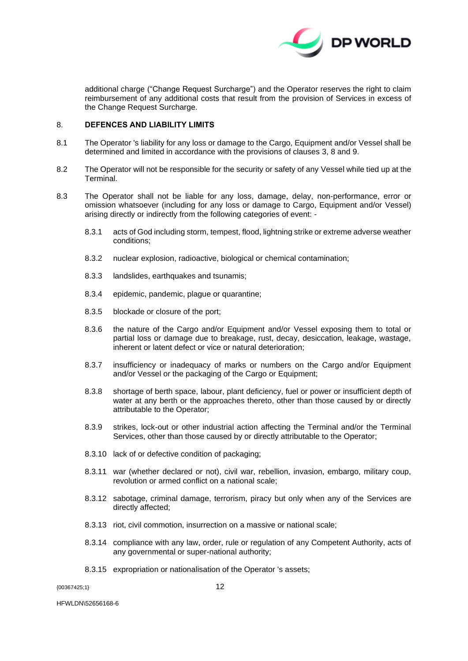

additional charge ("Change Request Surcharge") and the Operator reserves the right to claim reimbursement of any additional costs that result from the provision of Services in excess of the Change Request Surcharge.

# <span id="page-11-0"></span>8. **DEFENCES AND LIABILITY LIMITS**

- 8.1 The Operator 's liability for any loss or damage to the Cargo, Equipment and/or Vessel shall be determined and limited in accordance with the provisions of clauses [3,](#page-4-1) [8](#page-11-0) and [9.](#page-13-1)
- 8.2 The Operator will not be responsible for the security or safety of any Vessel while tied up at the **Terminal**
- 8.3 The Operator shall not be liable for any loss, damage, delay, non-performance, error or omission whatsoever (including for any loss or damage to Cargo, Equipment and/or Vessel) arising directly or indirectly from the following categories of event: -
	- 8.3.1 acts of God including storm, tempest, flood, lightning strike or extreme adverse weather conditions;
	- 8.3.2 nuclear explosion, radioactive, biological or chemical contamination;
	- 8.3.3 landslides, earthquakes and tsunamis;
	- 8.3.4 epidemic, pandemic, plague or quarantine;
	- 8.3.5 blockade or closure of the port;
	- 8.3.6 the nature of the Cargo and/or Equipment and/or Vessel exposing them to total or partial loss or damage due to breakage, rust, decay, desiccation, leakage, wastage, inherent or latent defect or vice or natural deterioration;
	- 8.3.7 insufficiency or inadequacy of marks or numbers on the Cargo and/or Equipment and/or Vessel or the packaging of the Cargo or Equipment;
	- 8.3.8 shortage of berth space, labour, plant deficiency, fuel or power or insufficient depth of water at any berth or the approaches thereto, other than those caused by or directly attributable to the Operator;
	- 8.3.9 strikes, lock-out or other industrial action affecting the Terminal and/or the Terminal Services, other than those caused by or directly attributable to the Operator;
	- 8.3.10 lack of or defective condition of packaging;
	- 8.3.11 war (whether declared or not), civil war, rebellion, invasion, embargo, military coup, revolution or armed conflict on a national scale;
	- 8.3.12 sabotage, criminal damage, terrorism, piracy but only when any of the Services are directly affected;
	- 8.3.13 riot, civil commotion, insurrection on a massive or national scale;
	- 8.3.14 compliance with any law, order, rule or regulation of any Competent Authority, acts of any governmental or super-national authority;
	- 8.3.15 expropriation or nationalisation of the Operator 's assets;

{00367425;1} 12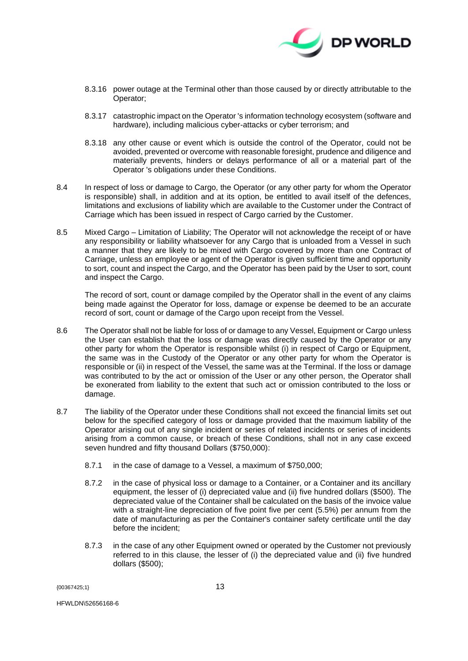

- 8.3.16 power outage at the Terminal other than those caused by or directly attributable to the Operator;
- 8.3.17 catastrophic impact on the Operator 's information technology ecosystem (software and hardware), including malicious cyber-attacks or cyber terrorism; and
- 8.3.18 any other cause or event which is outside the control of the Operator, could not be avoided, prevented or overcome with reasonable foresight, prudence and diligence and materially prevents, hinders or delays performance of all or a material part of the Operator 's obligations under these Conditions.
- 8.4 In respect of loss or damage to Cargo, the Operator (or any other party for whom the Operator is responsible) shall, in addition and at its option, be entitled to avail itself of the defences, limitations and exclusions of liability which are available to the Customer under the Contract of Carriage which has been issued in respect of Cargo carried by the Customer.
- 8.5 Mixed Cargo Limitation of Liability; The Operator will not acknowledge the receipt of or have any responsibility or liability whatsoever for any Cargo that is unloaded from a Vessel in such a manner that they are likely to be mixed with Cargo covered by more than one Contract of Carriage, unless an employee or agent of the Operator is given sufficient time and opportunity to sort, count and inspect the Cargo, and the Operator has been paid by the User to sort, count and inspect the Cargo.

The record of sort, count or damage compiled by the Operator shall in the event of any claims being made against the Operator for loss, damage or expense be deemed to be an accurate record of sort, count or damage of the Cargo upon receipt from the Vessel.

- 8.6 The Operator shall not be liable for loss of or damage to any Vessel, Equipment or Cargo unless the User can establish that the loss or damage was directly caused by the Operator or any other party for whom the Operator is responsible whilst (i) in respect of Cargo or Equipment, the same was in the Custody of the Operator or any other party for whom the Operator is responsible or (ii) in respect of the Vessel, the same was at the Terminal. If the loss or damage was contributed to by the act or omission of the User or any other person, the Operator shall be exonerated from liability to the extent that such act or omission contributed to the loss or damage.
- <span id="page-12-0"></span>8.7 The liability of the Operator under these Conditions shall not exceed the financial limits set out below for the specified category of loss or damage provided that the maximum liability of the Operator arising out of any single incident or series of related incidents or series of incidents arising from a common cause, or breach of these Conditions, shall not in any case exceed seven hundred and fifty thousand Dollars (\$750,000):
	- 8.7.1 in the case of damage to a Vessel, a maximum of \$750,000;
	- 8.7.2 in the case of physical loss or damage to a Container, or a Container and its ancillary equipment, the lesser of (i) depreciated value and (ii) five hundred dollars (\$500). The depreciated value of the Container shall be calculated on the basis of the invoice value with a straight-line depreciation of five point five per cent (5.5%) per annum from the date of manufacturing as per the Container's container safety certificate until the day before the incident;
	- 8.7.3 in the case of any other Equipment owned or operated by the Customer not previously referred to in this clause, the lesser of (i) the depreciated value and (ii) five hundred dollars (\$500);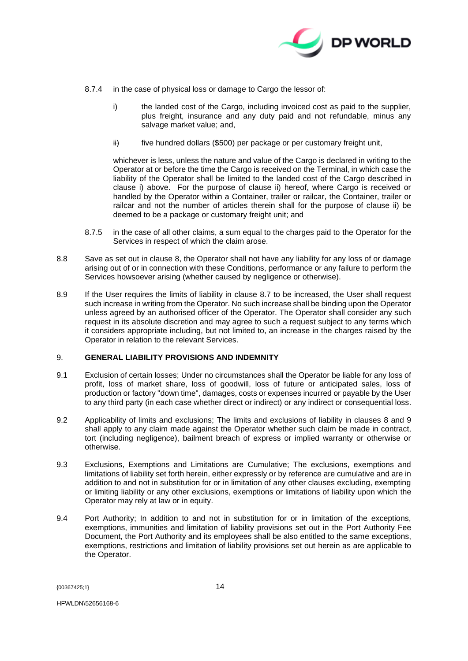

- 8.7.4 in the case of physical loss or damage to Cargo the lessor of:
	- i) the landed cost of the Cargo, including invoiced cost as paid to the supplier, plus freight, insurance and any duty paid and not refundable, minus any salvage market value; and,
	- $\ddot{H}$  five hundred dollars (\$500) per package or per customary freight unit,

whichever is less, unless the nature and value of the Cargo is declared in writing to the Operator at or before the time the Cargo is received on the Terminal, in which case the liability of the Operator shall be limited to the landed cost of the Cargo described in clause i) above. For the purpose of clause ii) hereof, where Cargo is received or handled by the Operator within a Container, trailer or railcar, the Container, trailer or railcar and not the number of articles therein shall for the purpose of clause ii) be deemed to be a package or customary freight unit; and

- 8.7.5 in the case of all other claims, a sum equal to the charges paid to the Operator for the Services in respect of which the claim arose.
- <span id="page-13-2"></span><span id="page-13-0"></span>8.8 Save as set out in clause [8,](#page-11-0) the Operator shall not have any liability for any loss of or damage arising out of or in connection with these Conditions, performance or any failure to perform the Services howsoever arising (whether caused by negligence or otherwise).
- 8.9 If the User requires the limits of liability in clause [8.7](#page-12-0) to be increased, the User shall request such increase in writing from the Operator. No such increase shall be binding upon the Operator unless agreed by an authorised officer of the Operator. The Operator shall consider any such request in its absolute discretion and may agree to such a request subject to any terms which it considers appropriate including, but not limited to, an increase in the charges raised by the Operator in relation to the relevant Services.

# <span id="page-13-1"></span>9. **GENERAL LIABILITY PROVISIONS AND INDEMNITY**

- 9.1 Exclusion of certain losses; Under no circumstances shall the Operator be liable for any loss of profit, loss of market share, loss of goodwill, loss of future or anticipated sales. loss of production or factory "down time", damages, costs or expenses incurred or payable by the User to any third party (in each case whether direct or indirect) or any indirect or consequential loss.
- 9.2 Applicability of limits and exclusions; The limits and exclusions of liability in clauses [8](#page-11-0) and [9](#page-13-1) shall apply to any claim made against the Operator whether such claim be made in contract, tort (including negligence), bailment breach of express or implied warranty or otherwise or otherwise.
- 9.3 Exclusions, Exemptions and Limitations are Cumulative; The exclusions, exemptions and limitations of liability set forth herein, either expressly or by reference are cumulative and are in addition to and not in substitution for or in limitation of any other clauses excluding, exempting or limiting liability or any other exclusions, exemptions or limitations of liability upon which the Operator may rely at law or in equity.
- 9.4 Port Authority; In addition to and not in substitution for or in limitation of the exceptions, exemptions, immunities and limitation of liability provisions set out in the Port Authority Fee Document, the Port Authority and its employees shall be also entitled to the same exceptions, exemptions, restrictions and limitation of liability provisions set out herein as are applicable to the Operator.

{00367425;1} 14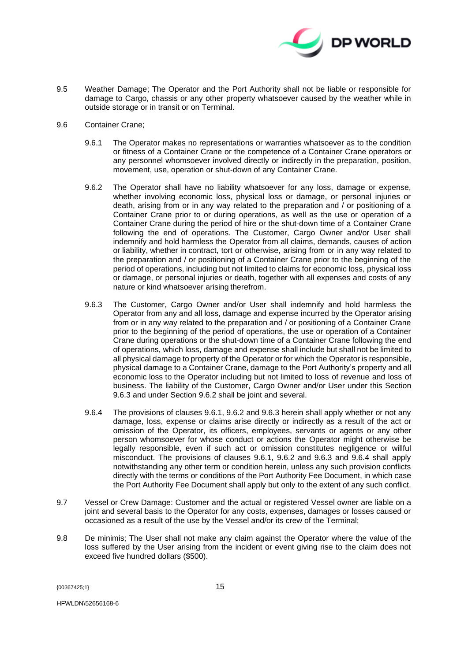

- 9.5 Weather Damage; The Operator and the Port Authority shall not be liable or responsible for damage to Cargo, chassis or any other property whatsoever caused by the weather while in outside storage or in transit or on Terminal.
- 9.6 Container Crane;
	- 9.6.1 The Operator makes no representations or warranties whatsoever as to the condition or fitness of a Container Crane or the competence of a Container Crane operators or any personnel whomsoever involved directly or indirectly in the preparation, position, movement, use, operation or shut-down of any Container Crane.
	- 9.6.2 The Operator shall have no liability whatsoever for any loss, damage or expense, whether involving economic loss, physical loss or damage, or personal injuries or death, arising from or in any way related to the preparation and / or positioning of a Container Crane prior to or during operations, as well as the use or operation of a Container Crane during the period of hire or the shut-down time of a Container Crane following the end of operations. The Customer, Cargo Owner and/or User shall indemnify and hold harmless the Operator from all claims, demands, causes of action or liability, whether in contract, tort or otherwise, arising from or in any way related to the preparation and / or positioning of a Container Crane prior to the beginning of the period of operations, including but not limited to claims for economic loss, physical loss or damage, or personal injuries or death, together with all expenses and costs of any nature or kind whatsoever arising therefrom.
	- 9.6.3 The Customer, Cargo Owner and/or User shall indemnify and hold harmless the Operator from any and all loss, damage and expense incurred by the Operator arising from or in any way related to the preparation and / or positioning of a Container Crane prior to the beginning of the period of operations, the use or operation of a Container Crane during operations or the shut-down time of a Container Crane following the end of operations, which loss, damage and expense shall include but shall not be limited to all physical damage to property of the Operator or for which the Operator is responsible, physical damage to a Container Crane, damage to the Port Authority's property and all economic loss to the Operator including but not limited to loss of revenue and loss of business. The liability of the Customer, Cargo Owner and/or User under this Section 9.6.3 and under Section 9.6.2 shall be joint and several.
	- 9.6.4 The provisions of clauses 9.6.1, 9.6.2 and 9.6.3 herein shall apply whether or not any damage, loss, expense or claims arise directly or indirectly as a result of the act or omission of the Operator, its officers, employees, servants or agents or any other person whomsoever for whose conduct or actions the Operator might otherwise be legally responsible, even if such act or omission constitutes negligence or willful misconduct. The provisions of clauses 9.6.1, 9.6.2 and 9.6.3 and 9.6.4 shall apply notwithstanding any other term or condition herein, unless any such provision conflicts directly with the terms or conditions of the Port Authority Fee Document, in which case the Port Authority Fee Document shall apply but only to the extent of any such conflict.
- 9.7 Vessel or Crew Damage: Customer and the actual or registered Vessel owner are liable on a joint and several basis to the Operator for any costs, expenses, damages or losses caused or occasioned as a result of the use by the Vessel and/or its crew of the Terminal;
- 9.8 De minimis; The User shall not make any claim against the Operator where the value of the loss suffered by the User arising from the incident or event giving rise to the claim does not exceed five hundred dollars (\$500).

{00367425;1} 15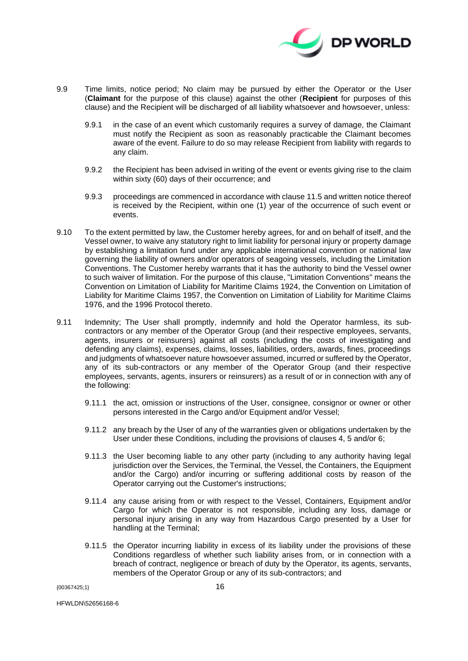

- 9.9 Time limits, notice period; No claim may be pursued by either the Operator or the User (**Claimant** for the purpose of this clause) against the other (**Recipient** for purposes of this clause) and the Recipient will be discharged of all liability whatsoever and howsoever, unless:
	- 9.9.1 in the case of an event which customarily requires a survey of damage, the Claimant must notify the Recipient as soon as reasonably practicable the Claimant becomes aware of the event. Failure to do so may release Recipient from liability with regards to any claim.
	- 9.9.2 the Recipient has been advised in writing of the event or events giving rise to the claim within sixty (60) days of their occurrence; and
	- 9.9.3 proceedings are commenced in accordance with clause [11.5](#page-19-0) and written notice thereof is received by the Recipient, within one (1) year of the occurrence of such event or events.
- 9.10 To the extent permitted by law, the Customer hereby agrees, for and on behalf of itself, and the Vessel owner, to waive any statutory right to limit liability for personal injury or property damage by establishing a limitation fund under any applicable international convention or national law governing the liability of owners and/or operators of seagoing vessels, including the Limitation Conventions. The Customer hereby warrants that it has the authority to bind the Vessel owner to such waiver of limitation. For the purpose of this clause, "Limitation Conventions" means the Convention on Limitation of Liability for Maritime Claims 1924, the Convention on Limitation of Liability for Maritime Claims 1957, the Convention on Limitation of Liability for Maritime Claims 1976, and the 1996 Protocol thereto.
- 9.11 Indemnity; The User shall promptly, indemnify and hold the Operator harmless, its subcontractors or any member of the Operator Group (and their respective employees, servants, agents, insurers or reinsurers) against all costs (including the costs of investigating and defending any claims), expenses, claims, losses, liabilities, orders, awards, fines, proceedings and judgments of whatsoever nature howsoever assumed, incurred or suffered by the Operator, any of its sub-contractors or any member of the Operator Group (and their respective employees, servants, agents, insurers or reinsurers) as a result of or in connection with any of the following:
	- 9.11.1 the act, omission or instructions of the User, consignee, consignor or owner or other persons interested in the Cargo and/or Equipment and/or Vessel;
	- 9.11.2 any breach by the User of any of the warranties given or obligations undertaken by the User under these Conditions, including the provisions of clauses [4,](#page-6-1) [5](#page-7-1) and/or [6;](#page-8-0)
	- 9.11.3 the User becoming liable to any other party (including to any authority having legal jurisdiction over the Services, the Terminal, the Vessel, the Containers, the Equipment and/or the Cargo) and/or incurring or suffering additional costs by reason of the Operator carrying out the Customer's instructions;
	- 9.11.4 any cause arising from or with respect to the Vessel, Containers, Equipment and/or Cargo for which the Operator is not responsible, including any loss, damage or personal injury arising in any way from Hazardous Cargo presented by a User for handling at the Terminal;
	- 9.11.5 the Operator incurring liability in excess of its liability under the provisions of these Conditions regardless of whether such liability arises from, or in connection with a breach of contract, negligence or breach of duty by the Operator, its agents, servants, members of the Operator Group or any of its sub-contractors; and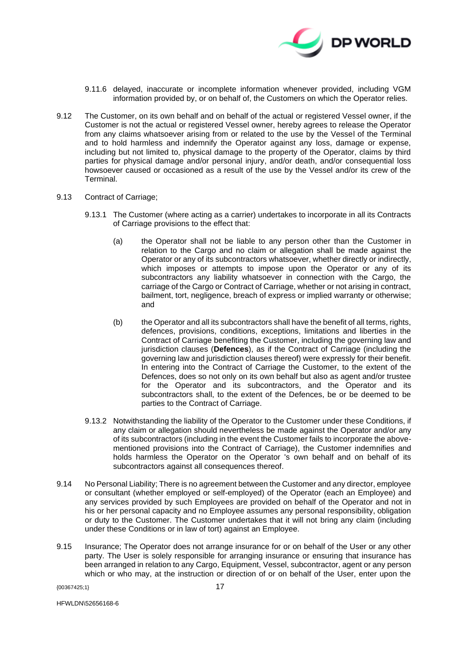

- 9.11.6 delayed, inaccurate or incomplete information whenever provided, including VGM information provided by, or on behalf of, the Customers on which the Operator relies.
- 9.12 The Customer, on its own behalf and on behalf of the actual or registered Vessel owner, if the Customer is not the actual or registered Vessel owner, hereby agrees to release the Operator from any claims whatsoever arising from or related to the use by the Vessel of the Terminal and to hold harmless and indemnify the Operator against any loss, damage or expense, including but not limited to, physical damage to the property of the Operator, claims by third parties for physical damage and/or personal injury, and/or death, and/or consequential loss howsoever caused or occasioned as a result of the use by the Vessel and/or its crew of the **Terminal**
- <span id="page-16-0"></span>9.13 Contract of Carriage;
	- 9.13.1 The Customer (where acting as a carrier) undertakes to incorporate in all its Contracts of Carriage provisions to the effect that:
		- (a) the Operator shall not be liable to any person other than the Customer in relation to the Cargo and no claim or allegation shall be made against the Operator or any of its subcontractors whatsoever, whether directly or indirectly, which imposes or attempts to impose upon the Operator or any of its subcontractors any liability whatsoever in connection with the Cargo, the carriage of the Cargo or Contract of Carriage, whether or not arising in contract, bailment, tort, negligence, breach of express or implied warranty or otherwise; and
		- (b) the Operator and all its subcontractors shall have the benefit of all terms, rights, defences, provisions, conditions, exceptions, limitations and liberties in the Contract of Carriage benefiting the Customer, including the governing law and jurisdiction clauses (**Defences**), as if the Contract of Carriage (including the governing law and jurisdiction clauses thereof) were expressly for their benefit. In entering into the Contract of Carriage the Customer, to the extent of the Defences, does so not only on its own behalf but also as agent and/or trustee for the Operator and its subcontractors, and the Operator and its subcontractors shall, to the extent of the Defences, be or be deemed to be parties to the Contract of Carriage.
	- 9.13.2 Notwithstanding the liability of the Operator to the Customer under these Conditions, if any claim or allegation should nevertheless be made against the Operator and/or any of its subcontractors (including in the event the Customer fails to incorporate the abovementioned provisions into the Contract of Carriage), the Customer indemnifies and holds harmless the Operator on the Operator 's own behalf and on behalf of its subcontractors against all consequences thereof.
- 9.14 No Personal Liability; There is no agreement between the Customer and any director, employee or consultant (whether employed or self-employed) of the Operator (each an Employee) and any services provided by such Employees are provided on behalf of the Operator and not in his or her personal capacity and no Employee assumes any personal responsibility, obligation or duty to the Customer. The Customer undertakes that it will not bring any claim (including under these Conditions or in law of tort) against an Employee.
- 9.15 Insurance; The Operator does not arrange insurance for or on behalf of the User or any other party. The User is solely responsible for arranging insurance or ensuring that insurance has been arranged in relation to any Cargo, Equipment, Vessel, subcontractor, agent or any person which or who may, at the instruction or direction of or on behalf of the User, enter upon the

{00367425;1} 17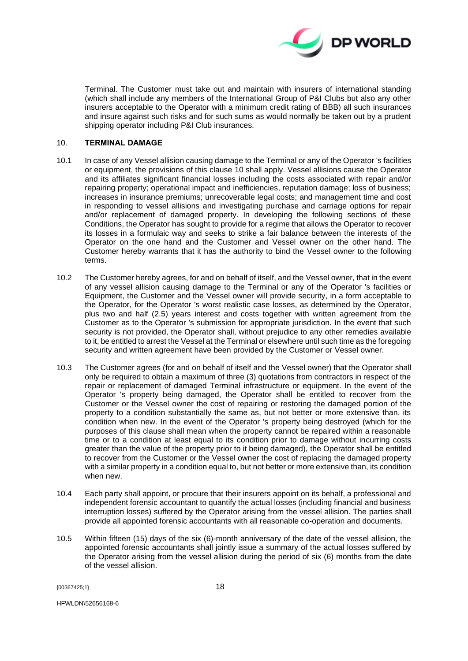

Terminal. The Customer must take out and maintain with insurers of international standing (which shall include any members of the International Group of P&I Clubs but also any other insurers acceptable to the Operator with a minimum credit rating of BBB) all such insurances and insure against such risks and for such sums as would normally be taken out by a prudent shipping operator including P&I Club insurances.

### <span id="page-17-0"></span>10. **TERMINAL DAMAGE**

- 10.1 In case of any Vessel allision causing damage to the Terminal or any of the Operator 's facilities or equipment, the provisions of this clause [10](#page-17-0) shall apply. Vessel allisions cause the Operator and its affiliates significant financial losses including the costs associated with repair and/or repairing property; operational impact and inefficiencies, reputation damage; loss of business; increases in insurance premiums; unrecoverable legal costs; and management time and cost in responding to vessel allisions and investigating purchase and carriage options for repair and/or replacement of damaged property. In developing the following sections of these Conditions, the Operator has sought to provide for a regime that allows the Operator to recover its losses in a formulaic way and seeks to strike a fair balance between the interests of the Operator on the one hand and the Customer and Vessel owner on the other hand. The Customer hereby warrants that it has the authority to bind the Vessel owner to the following terms.
- 10.2 The Customer hereby agrees, for and on behalf of itself, and the Vessel owner, that in the event of any vessel allision causing damage to the Terminal or any of the Operator 's facilities or Equipment, the Customer and the Vessel owner will provide security, in a form acceptable to the Operator, for the Operator 's worst realistic case losses, as determined by the Operator, plus two and half (2.5) years interest and costs together with written agreement from the Customer as to the Operator 's submission for appropriate jurisdiction. In the event that such security is not provided, the Operator shall, without prejudice to any other remedies available to it, be entitled to arrest the Vessel at the Terminal or elsewhere until such time as the foregoing security and written agreement have been provided by the Customer or Vessel owner.
- 10.3 The Customer agrees (for and on behalf of itself and the Vessel owner) that the Operator shall only be required to obtain a maximum of three (3) quotations from contractors in respect of the repair or replacement of damaged Terminal infrastructure or equipment. In the event of the Operator 's property being damaged, the Operator shall be entitled to recover from the Customer or the Vessel owner the cost of repairing or restoring the damaged portion of the property to a condition substantially the same as, but not better or more extensive than, its condition when new. In the event of the Operator 's property being destroyed (which for the purposes of this clause shall mean when the property cannot be repaired within a reasonable time or to a condition at least equal to its condition prior to damage without incurring costs greater than the value of the property prior to it being damaged), the Operator shall be entitled to recover from the Customer or the Vessel owner the cost of replacing the damaged property with a similar property in a condition equal to, but not better or more extensive than, its condition when new.
- <span id="page-17-1"></span>10.4 Each party shall appoint, or procure that their insurers appoint on its behalf, a professional and independent forensic accountant to quantify the actual losses (including financial and business interruption losses) suffered by the Operator arising from the vessel allision. The parties shall provide all appointed forensic accountants with all reasonable co-operation and documents.
- <span id="page-17-2"></span>10.5 Within fifteen (15) days of the six (6)-month anniversary of the date of the vessel allision, the appointed forensic accountants shall jointly issue a summary of the actual losses suffered by the Operator arising from the vessel allision during the period of six (6) months from the date of the vessel allision.

{00367425;1} 18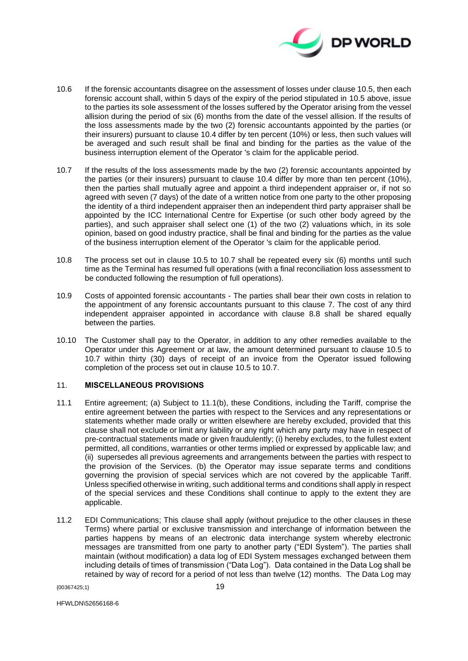

- 10.6 If the forensic accountants disagree on the assessment of losses under clause 10.5, then each forensic account shall, within 5 days of the expiry of the period stipulated in 10.5 above, issue to the parties its sole assessment of the losses suffered by the Operator arising from the vessel allision during the period of six (6) months from the date of the vessel allision. If the results of the loss assessments made by the two (2) forensic accountants appointed by the parties (or their insurers) pursuant to clause [10.4](#page-17-1) differ by ten percent (10%) or less, then such values will be averaged and such result shall be final and binding for the parties as the value of the business interruption element of the Operator 's claim for the applicable period.
- <span id="page-18-0"></span>10.7 If the results of the loss assessments made by the two (2) forensic accountants appointed by the parties (or their insurers) pursuant to clause [10.4](#page-17-1) differ by more than ten percent (10%), then the parties shall mutually agree and appoint a third independent appraiser or, if not so agreed with seven (7 days) of the date of a written notice from one party to the other proposing the identity of a third independent appraiser then an independent third party appraiser shall be appointed by the ICC International Centre for Expertise (or such other body agreed by the parties), and such appraiser shall select one (1) of the two (2) valuations which, in its sole opinion, based on good industry practice, shall be final and binding for the parties as the value of the business interruption element of the Operator 's claim for the applicable period.
- 10.8 The process set out in clause [10.5](#page-17-2) to [10.7](#page-18-0) shall be repeated every six (6) months until such time as the Terminal has resumed full operations (with a final reconciliation loss assessment to be conducted following the resumption of full operations).
- 10.9 Costs of appointed forensic accountants The parties shall bear their own costs in relation to the appointment of any forensic accountants pursuant to this clause [7.](#page-9-1) The cost of any third independent appraiser appointed in accordance with clause [8.8](#page-13-2) shall be shared equally between the parties.
- 10.10 The Customer shall pay to the Operator, in addition to any other remedies available to the Operator under this Agreement or at law, the amount determined pursuant to clause [10.5](#page-17-2) to [10.7](#page-18-0) within thirty (30) days of receipt of an invoice from the Operator issued following completion of the process set out in clause [10.5](#page-17-2) to [10.7.](#page-18-0)

# 11. **MISCELLANEOUS PROVISIONS**

- 11.1 Entire agreement; (a) Subject to 11.1(b), these Conditions, including the Tariff, comprise the entire agreement between the parties with respect to the Services and any representations or statements whether made orally or written elsewhere are hereby excluded, provided that this clause shall not exclude or limit any liability or any right which any party may have in respect of pre-contractual statements made or given fraudulently; (i) hereby excludes, to the fullest extent permitted, all conditions, warranties or other terms implied or expressed by applicable law; and (ii) supersedes all previous agreements and arrangements between the parties with respect to the provision of the Services. (b) the Operator may issue separate terms and conditions governing the provision of special services which are not covered by the applicable Tariff. Unless specified otherwise in writing, such additional terms and conditions shall apply in respect of the special services and these Conditions shall continue to apply to the extent they are applicable.
- 11.2 EDI Communications; This clause shall apply (without prejudice to the other clauses in these Terms) where partial or exclusive transmission and interchange of information between the parties happens by means of an electronic data interchange system whereby electronic messages are transmitted from one party to another party ("EDI System"). The parties shall maintain (without modification) a data log of EDI System messages exchanged between them including details of times of transmission ("Data Log"). Data contained in the Data Log shall be retained by way of record for a period of not less than twelve (12) months. The Data Log may